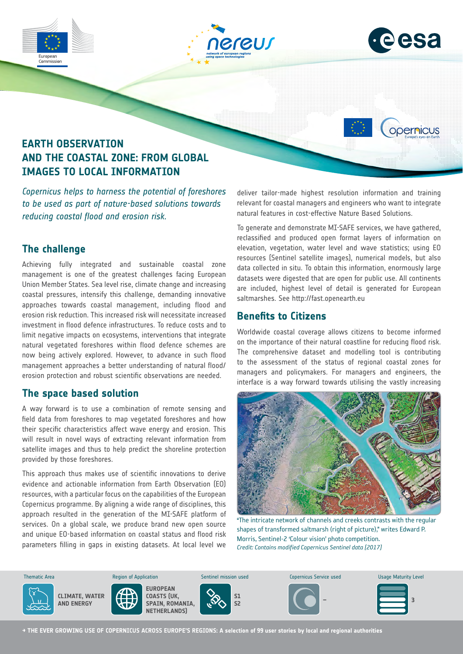





opernicus

# **EARTH OBSERVATION AND THE COASTAL ZONE: FROM GLOBAL IMAGES TO LOCAL INFORMATION**

*Copernicus helps to harness the potential of foreshores to be used as part of nature-based solutions towards reducing coastal flood and erosion risk.*

### **The challenge**

Achieving fully integrated and sustainable coastal zone management is one of the greatest challenges facing European Union Member States. Sea level rise, climate change and increasing coastal pressures, intensify this challenge, demanding innovative approaches towards coastal management, including flood and erosion risk reduction. This increased risk will necessitate increased investment in flood defence infrastructures. To reduce costs and to limit negative impacts on ecosystems, interventions that integrate natural vegetated foreshores within flood defence schemes are now being actively explored. However, to advance in such flood management approaches a better understanding of natural flood/ erosion protection and robust scientific observations are needed.

## **The space based solution**

A way forward is to use a combination of remote sensing and field data from foreshores to map vegetated foreshores and how their specific characteristics affect wave energy and erosion. This will result in novel ways of extracting relevant information from satellite images and thus to help predict the shoreline protection provided by those foreshores.

This approach thus makes use of scientific innovations to derive evidence and actionable information from Earth Observation (EO) resources, with a particular focus on the capabilities of the European Copernicus programme. By aligning a wide range of disciplines, this approach resulted in the generation of the MI-SAFE platform of services. On a global scale, we produce brand new open source and unique EO-based information on coastal status and flood risk parameters filling in gaps in existing datasets. At local level we deliver tailor-made highest resolution information and training relevant for coastal managers and engineers who want to integrate natural features in cost-effective Nature Based Solutions.

To generate and demonstrate MI-SAFE services, we have gathered, reclassified and produced open format layers of information on elevation, vegetation, water level and wave statistics; using EO resources (Sentinel satellite images), numerical models, but also data collected in situ. To obtain this information, enormously large datasets were digested that are open for public use. All continents are included, highest level of detail is generated for European saltmarshes. See http://fast.openearth.eu

### **Benefits to Citizens**

Worldwide coastal coverage allows citizens to become informed on the importance of their natural coastline for reducing flood risk. The comprehensive dataset and modelling tool is contributing to the assessment of the status of regional coastal zones for managers and policymakers. For managers and engineers, the interface is a way forward towards utilising the vastly increasing



"The intricate network of channels and creeks contrasts with the regular shapes of transformed saltmarsh (right of picture)," writes Edward P. Morris, Sentinel-2 'Colour vision' photo competition. *Credit: Contains modified Copernicus Sentinel data [2017]*



**→ THE EVER GROWING USE OF COPERNICUS ACROSS EUROPE'S REGIONS: A selection of 99 user stories by local and regional authorities**